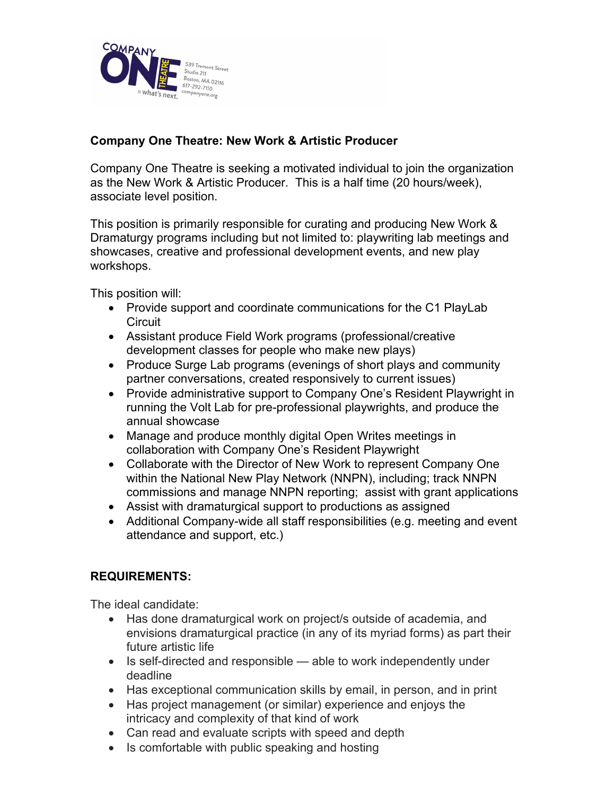

# **Company One Theatre: New Work & Artistic Producer**

Company One Theatre is seeking a motivated individual to join the organization as the New Work & Artistic Producer. This is a half time (20 hours/week), associate level position.

This position is primarily responsible for curating and producing New Work & Dramaturgy programs including but not limited to: playwriting lab meetings and showcases, creative and professional development events, and new play workshops.

This position will:

- Provide support and coordinate communications for the C1 PlayLab **Circuit**
- Assistant produce Field Work programs (professional/creative development classes for people who make new plays)
- Produce Surge Lab programs (evenings of short plays and community partner conversations, created responsively to current issues)
- Provide administrative support to Company One's Resident Playwright in running the Volt Lab for pre-professional playwrights, and produce the annual showcase
- Manage and produce monthly digital Open Writes meetings in collaboration with Company One's Resident Playwright
- Collaborate with the Director of New Work to represent Company One within the National New Play Network (NNPN), including; track NNPN commissions and manage NNPN reporting; assist with grant applications
- Assist with dramaturgical support to productions as assigned
- Additional Company-wide all staff responsibilities (e.g. meeting and event attendance and support, etc.)

## **REQUIREMENTS:**

The ideal candidate:

- Has done dramaturgical work on project/s outside of academia, and envisions dramaturgical practice (in any of its myriad forms) as part their future artistic life
- Is self-directed and responsible able to work independently under deadline
- Has exceptional communication skills by email, in person, and in print
- Has project management (or similar) experience and enjoys the intricacy and complexity of that kind of work
- Can read and evaluate scripts with speed and depth
- Is comfortable with public speaking and hosting